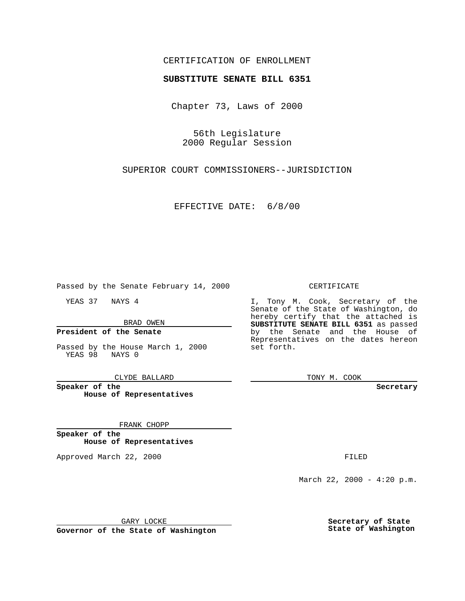# CERTIFICATION OF ENROLLMENT

# **SUBSTITUTE SENATE BILL 6351**

Chapter 73, Laws of 2000

56th Legislature 2000 Regular Session

SUPERIOR COURT COMMISSIONERS--JURISDICTION

EFFECTIVE DATE: 6/8/00

Passed by the Senate February 14, 2000

YEAS 37 NAYS 4

BRAD OWEN

## **President of the Senate**

Passed by the House March 1, 2000 YEAS 98 NAYS 0

CLYDE BALLARD

**Speaker of the House of Representatives**

#### FRANK CHOPP

**Speaker of the House of Representatives**

Approved March 22, 2000 FILED

#### CERTIFICATE

I, Tony M. Cook, Secretary of the Senate of the State of Washington, do hereby certify that the attached is **SUBSTITUTE SENATE BILL 6351** as passed by the Senate and the House of Representatives on the dates hereon set forth.

TONY M. COOK

**Secretary**

March 22, 2000 -  $4:20$  p.m.

GARY LOCKE

**Governor of the State of Washington**

**Secretary of State State of Washington**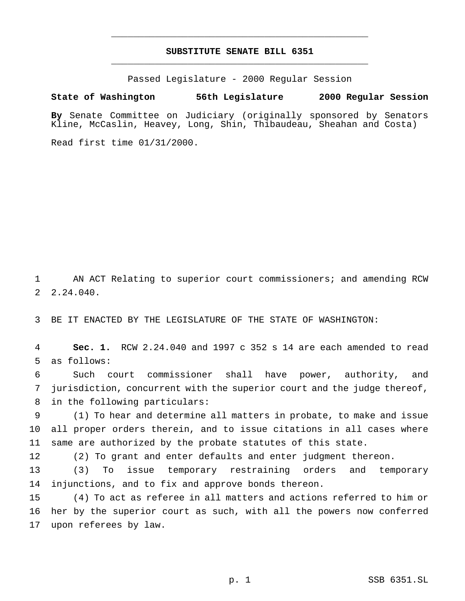# **SUBSTITUTE SENATE BILL 6351** \_\_\_\_\_\_\_\_\_\_\_\_\_\_\_\_\_\_\_\_\_\_\_\_\_\_\_\_\_\_\_\_\_\_\_\_\_\_\_\_\_\_\_\_\_\_\_

\_\_\_\_\_\_\_\_\_\_\_\_\_\_\_\_\_\_\_\_\_\_\_\_\_\_\_\_\_\_\_\_\_\_\_\_\_\_\_\_\_\_\_\_\_\_\_

Passed Legislature - 2000 Regular Session

### **State of Washington 56th Legislature 2000 Regular Session**

**By** Senate Committee on Judiciary (originally sponsored by Senators Kline, McCaslin, Heavey, Long, Shin, Thibaudeau, Sheahan and Costa)

Read first time 01/31/2000.

 AN ACT Relating to superior court commissioners; and amending RCW 2.24.040.

BE IT ENACTED BY THE LEGISLATURE OF THE STATE OF WASHINGTON:

 **Sec. 1.** RCW 2.24.040 and 1997 c 352 s 14 are each amended to read as follows:

 Such court commissioner shall have power, authority, and jurisdiction, concurrent with the superior court and the judge thereof, in the following particulars:

 (1) To hear and determine all matters in probate, to make and issue all proper orders therein, and to issue citations in all cases where same are authorized by the probate statutes of this state.

(2) To grant and enter defaults and enter judgment thereon.

 (3) To issue temporary restraining orders and temporary injunctions, and to fix and approve bonds thereon.

 (4) To act as referee in all matters and actions referred to him or her by the superior court as such, with all the powers now conferred upon referees by law.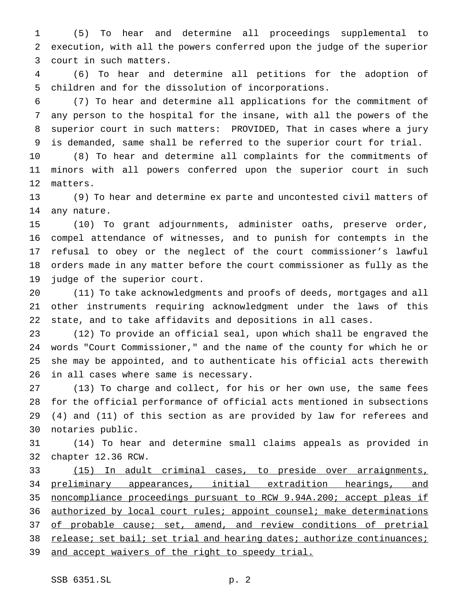(5) To hear and determine all proceedings supplemental to execution, with all the powers conferred upon the judge of the superior court in such matters.

 (6) To hear and determine all petitions for the adoption of children and for the dissolution of incorporations.

 (7) To hear and determine all applications for the commitment of any person to the hospital for the insane, with all the powers of the superior court in such matters: PROVIDED, That in cases where a jury is demanded, same shall be referred to the superior court for trial.

 (8) To hear and determine all complaints for the commitments of minors with all powers conferred upon the superior court in such matters.

 (9) To hear and determine ex parte and uncontested civil matters of any nature.

 (10) To grant adjournments, administer oaths, preserve order, compel attendance of witnesses, and to punish for contempts in the refusal to obey or the neglect of the court commissioner's lawful orders made in any matter before the court commissioner as fully as the judge of the superior court.

 (11) To take acknowledgments and proofs of deeds, mortgages and all other instruments requiring acknowledgment under the laws of this state, and to take affidavits and depositions in all cases.

 (12) To provide an official seal, upon which shall be engraved the words "Court Commissioner," and the name of the county for which he or she may be appointed, and to authenticate his official acts therewith in all cases where same is necessary.

 (13) To charge and collect, for his or her own use, the same fees for the official performance of official acts mentioned in subsections (4) and (11) of this section as are provided by law for referees and notaries public.

 (14) To hear and determine small claims appeals as provided in chapter 12.36 RCW.

 (15) In adult criminal cases, to preside over arraignments, preliminary appearances, initial extradition hearings, and noncompliance proceedings pursuant to RCW 9.94A.200; accept pleas if 36 authorized by local court rules; appoint counsel; make determinations 37 of probable cause; set, amend, and review conditions of pretrial 38 release; set bail; set trial and hearing dates; authorize continuances; 39 and accept waivers of the right to speedy trial.